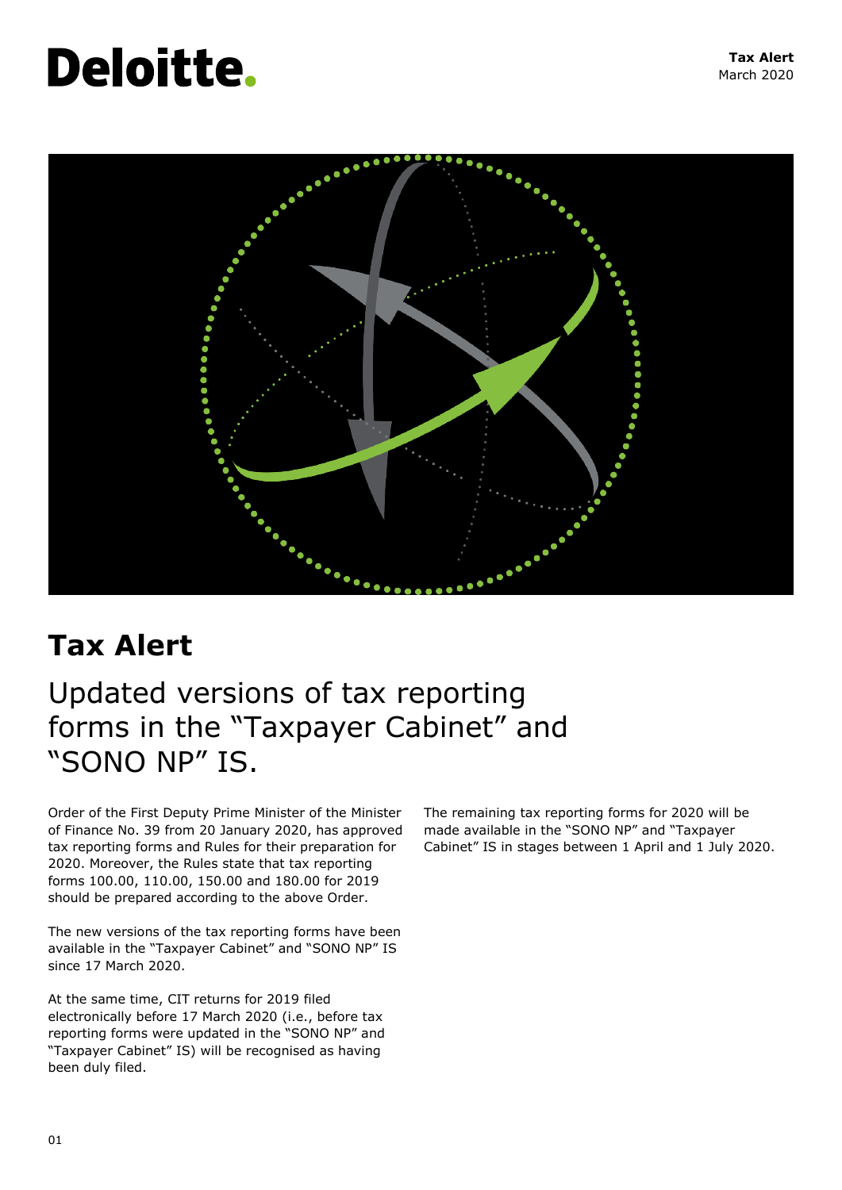# **Deloitte.**



## **Tax Alert**

## Updated versions of tax reporting forms in the "Taxpayer Cabinet" and "SONO NP" IS.

Order of the First Deputy Prime Minister of the Minister of Finance No. 39 from 20 January 2020, has approved tax reporting forms and Rules for their preparation for 2020. Moreover, the Rules state that tax reporting forms 100.00, 110.00, 150.00 and 180.00 for 2019 should be prepared according to the above Order.

The new versions of the tax reporting forms have been available in the "Taxpayer Cabinet" and "SONO NP" IS since 17 March 2020.

At the same time, CIT returns for 2019 filed electronically before 17 March 2020 (i.e., before tax reporting forms were updated in the "SONO NP" and "Taxpayer Cabinet" IS) will be recognised as having been duly filed.

The remaining tax reporting forms for 2020 will be made available in the "SONO NP" and "Taxpayer Cabinet" IS in stages between 1 April and 1 July 2020.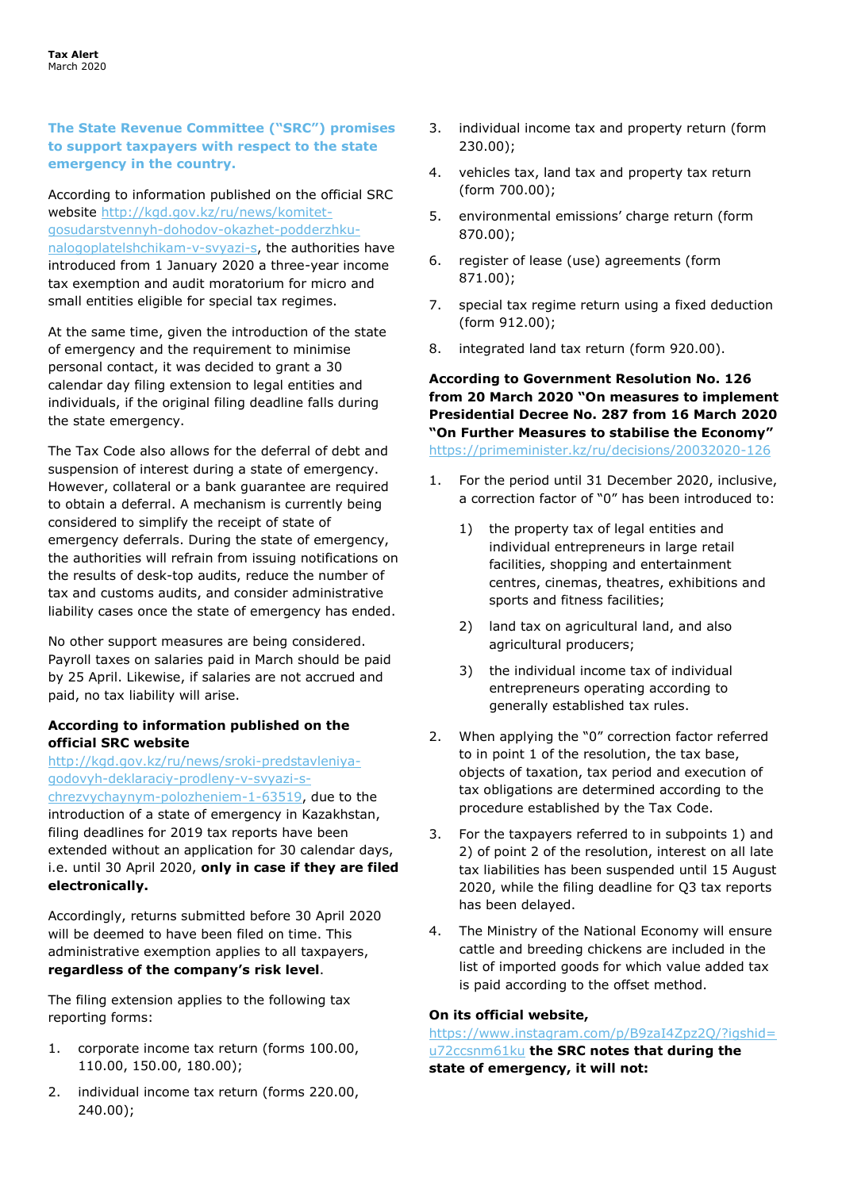### **The State Revenue Committee ("SRC") promises to support taxpayers with respect to the state emergency in the country.**

According to information published on the official SRC website [http://kgd.gov.kz/ru/news/komitet](http://kgd.gov.kz/ru/news/komitet-gosudarstvennyh-dohodov-okazhet-podderzhku-nalogoplatelshchikam-v-svyazi-s)[gosudarstvennyh-dohodov-okazhet-podderzhku](http://kgd.gov.kz/ru/news/komitet-gosudarstvennyh-dohodov-okazhet-podderzhku-nalogoplatelshchikam-v-svyazi-s)[nalogoplatelshchikam-v-svyazi-s,](http://kgd.gov.kz/ru/news/komitet-gosudarstvennyh-dohodov-okazhet-podderzhku-nalogoplatelshchikam-v-svyazi-s) the authorities have introduced from 1 January 2020 a three-year income tax exemption and audit moratorium for micro and small entities eligible for special tax regimes.

At the same time, given the introduction of the state of emergency and the requirement to minimise personal contact, it was decided to grant a 30 calendar day filing extension to legal entities and individuals, if the original filing deadline falls during the state emergency.

The Tax Code also allows for the deferral of debt and suspension of interest during a state of emergency. However, collateral or a bank guarantee are required to obtain a deferral. A mechanism is currently being considered to simplify the receipt of state of emergency deferrals. During the state of emergency, the authorities will refrain from issuing notifications on the results of desk-top audits, reduce the number of tax and customs audits, and consider administrative liability cases once the state of emergency has ended.

No other support measures are being considered. Payroll taxes on salaries paid in March should be paid by 25 April. Likewise, if salaries are not accrued and paid, no tax liability will arise.

### **According to information published on the official SRC website**

[http://kgd.gov.kz/ru/news/sroki-predstavleniya](http://kgd.gov.kz/ru/news/sroki-predstavleniya-godovyh-deklaraciy-prodleny-v-svyazi-s-chrezvychaynym-polozheniem-1-63519)[godovyh-deklaraciy-prodleny-v-svyazi-s](http://kgd.gov.kz/ru/news/sroki-predstavleniya-godovyh-deklaraciy-prodleny-v-svyazi-s-chrezvychaynym-polozheniem-1-63519)[chrezvychaynym-polozheniem-1-63519,](http://kgd.gov.kz/ru/news/sroki-predstavleniya-godovyh-deklaraciy-prodleny-v-svyazi-s-chrezvychaynym-polozheniem-1-63519) due to the introduction of a state of emergency in Kazakhstan, filing deadlines for 2019 tax reports have been extended without an application for 30 calendar days, i.e. until 30 April 2020, **only in case if they are filed electronically.**

Accordingly, returns submitted before 30 April 2020 will be deemed to have been filed on time. This administrative exemption applies to all taxpayers, **regardless of the company's risk level**.

The filing extension applies to the following tax reporting forms:

- 1. corporate income tax return (forms 100.00, 110.00, 150.00, 180.00);
- 2. individual income tax return (forms 220.00, 240.00);
- 3. individual income tax and property return (form 230.00);
- 4. vehicles tax, land tax and property tax return (form 700.00);
- 5. environmental emissions' charge return (form 870.00);
- 6. register of lease (use) agreements (form 871.00);
- 7. special tax regime return using a fixed deduction (form 912.00);
- 8. integrated land tax return (form 920.00).

**According to Government Resolution No. 126 from 20 March 2020 "On measures to implement Presidential Decree No. 287 from 16 March 2020 "On Further Measures to stabilise the Economy"**  <https://primeminister.kz/ru/decisions/20032020-126>

- 1. For the period until 31 December 2020, inclusive, a correction factor of "0" has been introduced to:
	- 1) the property tax of legal entities and individual entrepreneurs in large retail facilities, shopping and entertainment centres, cinemas, theatres, exhibitions and sports and fitness facilities;
	- 2) land tax on agricultural land, and also agricultural producers;
	- 3) the individual income tax of individual entrepreneurs operating according to generally established tax rules.
- 2. When applying the "0" correction factor referred to in point 1 of the resolution, the tax base, objects of taxation, tax period and execution of tax obligations are determined according to the procedure established by the Tax Code.
- 3. For the taxpayers referred to in subpoints 1) and 2) of point 2 of the resolution, interest on all late tax liabilities has been suspended until 15 August 2020, while the filing deadline for Q3 tax reports has been delayed.
- 4. The Ministry of the National Economy will ensure cattle and breeding chickens are included in the list of imported goods for which value added tax is paid according to the offset method.

### **On its official website,**

[https://www.instagram.com/p/B9zaI4Zpz2Q/?igshid=](https://www.instagram.com/p/B9zaI4Zpz2Q/?igshid=u72ccsnm61ku) [u72ccsnm61ku](https://www.instagram.com/p/B9zaI4Zpz2Q/?igshid=u72ccsnm61ku) **the SRC notes that during the state of emergency, it will not:**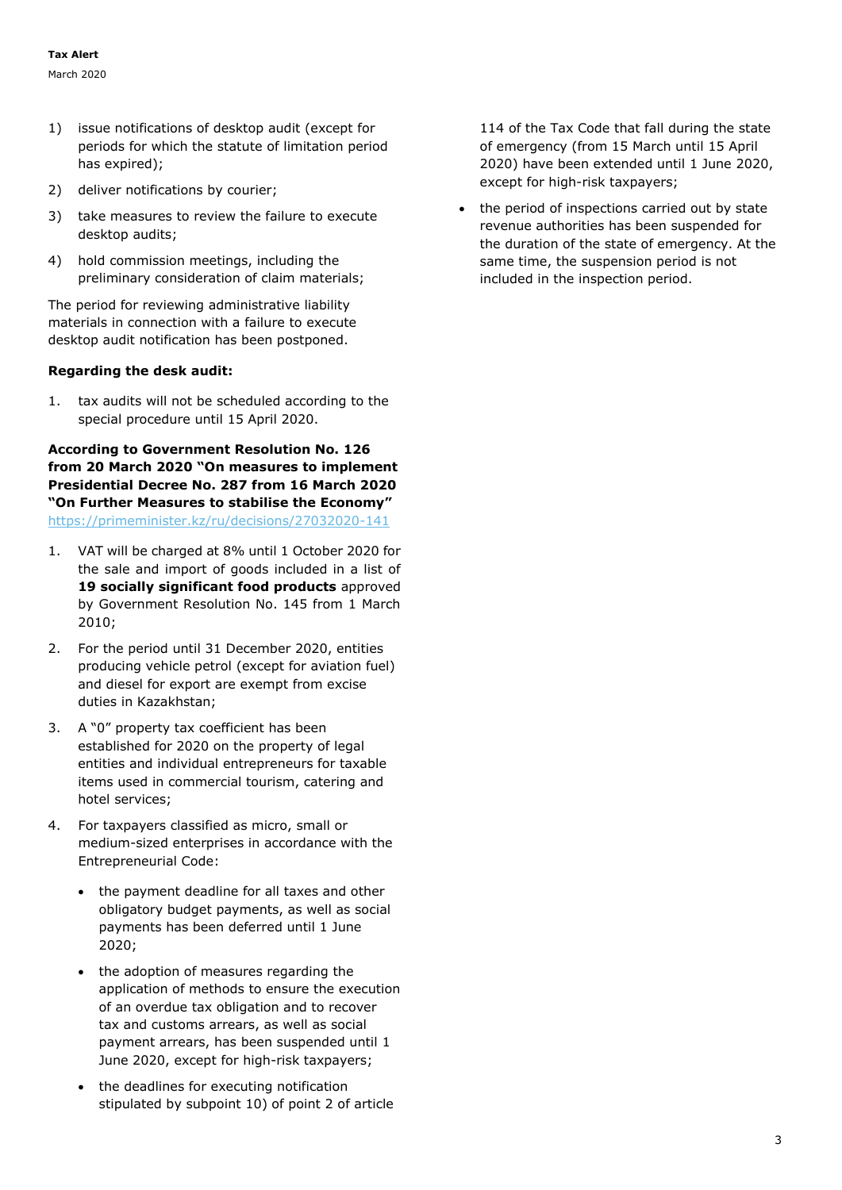- 1) issue notifications of desktop audit (except for periods for which the statute of limitation period has expired);
- 2) deliver notifications by courier;
- 3) take measures to review the failure to execute desktop audits;
- 4) hold commission meetings, including the preliminary consideration of claim materials;

The period for reviewing administrative liability materials in connection with a failure to execute desktop audit notification has been postponed.

### **Regarding the desk audit:**

1. tax audits will not be scheduled according to the special procedure until 15 April 2020.

**According to Government Resolution No. 126 from 20 March 2020 "On measures to implement Presidential Decree No. 287 from 16 March 2020 "On Further Measures to stabilise the Economy"**  <https://primeminister.kz/ru/decisions/27032020-141>

- 1. VAT will be charged at 8% until 1 October 2020 for the sale and import of goods included in a list of **19 socially significant food products** approved by Government Resolution No. 145 from 1 March 2010;
- 2. For the period until 31 December 2020, entities producing vehicle petrol (except for aviation fuel) and diesel for export are exempt from excise duties in Kazakhstan;
- 3. A "0" property tax coefficient has been established for 2020 on the property of legal entities and individual entrepreneurs for taxable items used in commercial tourism, catering and hotel services;
- 4. For taxpayers classified as micro, small or medium-sized enterprises in accordance with the Entrepreneurial Code:
	- the payment deadline for all taxes and other obligatory budget payments, as well as social payments has been deferred until 1 June 2020;
	- the adoption of measures regarding the application of methods to ensure the execution of an overdue tax obligation and to recover tax and customs arrears, as well as social payment arrears, has been suspended until 1 June 2020, except for high-risk taxpayers;
	- the deadlines for executing notification stipulated by subpoint 10) of point 2 of article

114 of the Tax Code that fall during the state of emergency (from 15 March until 15 April 2020) have been extended until 1 June 2020, except for high-risk taxpayers;

• the period of inspections carried out by state revenue authorities has been suspended for the duration of the state of emergency. At the same time, the suspension period is not included in the inspection period.